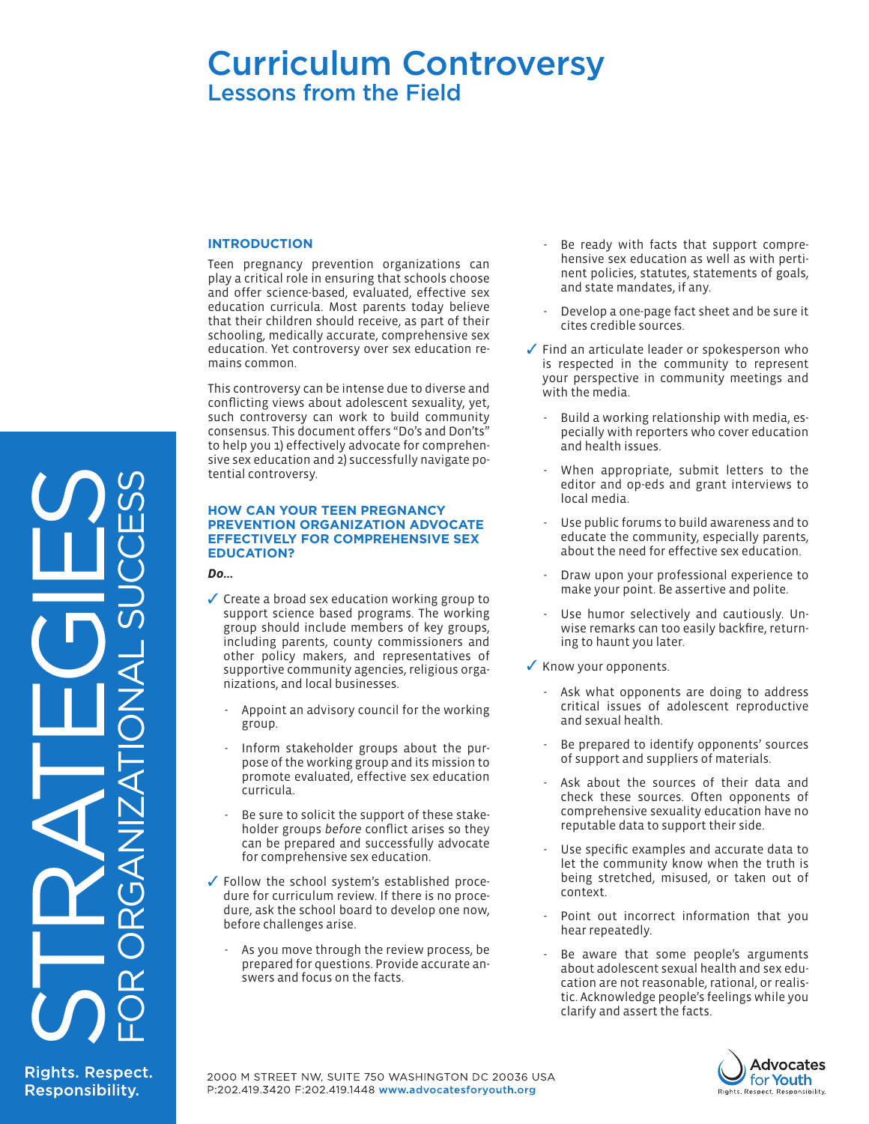# Curriculum Controversy Lessons from the Field

### **INTRODUCTION**

Teen pregnancy prevention organizations can play a critical role in ensuring that schools choose and offer science-based, evaluated, effective sex education curricula. Most parents today believe that their children should receive, as part of their schooling, medically accurate, comprehensive sex education. Yet controversy over sex education remains common.

This controversy can be intense due to diverse and conflicting views about adolescent sexuality, yet, such controversy can work to build community consensus. This document offers "Do's and Don'ts" to help you 1) effectively advocate for comprehensive sex education and 2) successfully navigate potential controversy.

#### **HOW CAN YOUR TEEN PREGNANCY PREVENTION ORGANIZATION ADVOCATE EFFECTIVELY FOR COMPREHENSIVE SEX EDUCATION?**

*Do...*

- ✓ Create a broad sex education working group to support science based programs. The working group should include members of key groups, including parents, county commissioners and other policy makers, and representatives of supportive community agencies, religious organizations, and local businesses.
	- Appoint an advisory council for the working group.
	- Inform stakeholder groups about the purpose of the working group and its mission to promote evaluated, effective sex education curricula.
	- Be sure to solicit the support of these stakeholder groups *before* conflict arises so they can be prepared and successfully advocate for comprehensive sex education.
- ✓ Follow the school system's established procedure for curriculum review. If there is no procedure, ask the school board to develop one now, before challenges arise.
	- As you move through the review process, be prepared for questions. Provide accurate answers and focus on the facts.
- Be ready with facts that support comprehensive sex education as well as with pertinent policies, statutes, statements of goals, and state mandates, if any.
- Develop a one-page fact sheet and be sure it cites credible sources.
- ✓ Find an articulate leader or spokesperson who is respected in the community to represent [your perspective in community meetings and](http://www.un.org/womenwatch/daw/cedawtt)  with the media.
	- Build a working relationship with media, especially with reporters who cover education and health issues.
	- When appropriate, submit letters to the editor and op-eds and grant interviews to local media.
	- Use public forums to build awareness and to educate the community, especially parents, about the need for effective sex education.
	- Draw upon your professional experience to make your point. Be assertive and polite.
	- Use humor selectively and cautiously. Unwise remarks can too easily backfire, returning to haunt you later.
- ✓ Know your opponents.
	- Ask what opponents are doing to address critical issues of adolescent reproductive and sexual health.
	- Be prepared to identify opponents' sources of support and suppliers of materials.
	- Ask about the sources of their data and check these sources. Often opponents of comprehensive sexuality education have no reputable data to support their side.
	- Use specific examples and accurate data to let the community know when the truth is being stretched, misused, or taken out of context.
	- Point out incorrect information that you hear repeatedly.
	- Be aware that some people's arguments about adolescent sexual health and sex education are not reasonable, rational, or realistic. Acknowledge people's feelings while you clarify and assert the facts.



**Rights. Respect. Responsibility.** 

STRATEGIES

FOR ORGANIZATIONAL SUCCESS

2000 M STREET NW, SUITE 750 WASHINGTON DC 20036 USA P:202.419.3420 F:202.419.1448 www.advocatesforyouth.org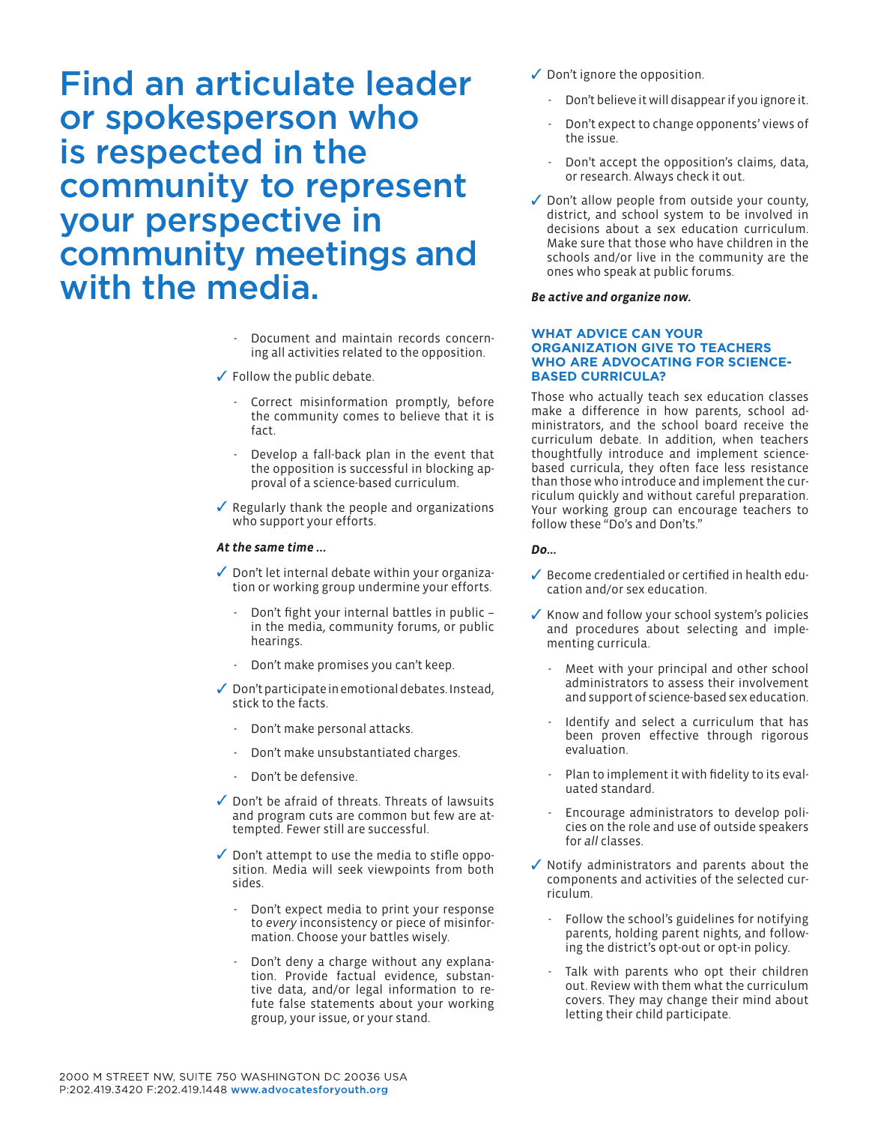Find an articulate leader or spokesperson who is respected in the community to represent your perspective in community meetings and with the media.

- Document and maintain records concerning all activities related to the opposition.
- ✓ Follow the public debate.
	- Correct misinformation promptly, before the community comes to believe that it is fact.
	- Develop a fall-back plan in the event that the opposition is successful in blocking approval of a science-based curriculum.
- ✓ Regularly thank the people and organizations who support your efforts.

#### *At the same time …*

- ✓ Don't let internal debate within your organization or working group undermine your efforts.
	- Don't fight your internal battles in public in the media, community forums, or public hearings.
	- Don't make promises you can't keep.
- ✓ Don't participate in emotional debates. Instead, stick to the facts.
	- Don't make personal attacks.
	- Don't make unsubstantiated charges.
	- Don't be defensive.
- ✓ Don't be afraid of threats. Threats of lawsuits and program cuts are common but few are attempted. Fewer still are successful.
- ✓ Don't attempt to use the media to stifle opposition. Media will seek viewpoints from both sides.
	- Don't expect media to print your response to *every* inconsistency or piece of misinformation. Choose your battles wisely.
	- Don't deny a charge without any explanation. Provide factual evidence, substantive data, and/or legal information to refute false statements about your working group, your issue, or your stand.
- ✓ Don't ignore the opposition.
	- Don't believe it will disappear if you ignore it.
	- Don't expect to change opponents' views of the issue.
	- Don't accept the opposition's claims, data, or research. Always check it out.
- ✓ Don't allow people from outside your county, district, and school system to be involved in decisions about a sex education curriculum. Make sure that those who have children in the schools and/or live in the community are the ones who speak at public forums.

# *Be active and organize now.*

#### **WHAT ADVICE CAN YOUR ORGANIZATION GIVE TO TEACHERS WHO ARE ADVOCATING FOR SCIENCE-BASED CURRICULA?**

Those who actually teach sex education classes make a difference in how parents, school administrators, and the school board receive the curriculum debate. In addition, when teachers thoughtfully introduce and implement sciencebased curricula, they often face less resistance than those who introduce and implement the curriculum quickly and without careful preparation. Your working group can encourage teachers to follow these "Do's and Don'ts."

# *Do...*

- ✓ Become credentialed or certified in health education and/or sex education.
- ✓ Know and follow your school system's policies and procedures about selecting and implementing curricula.
	- Meet with your principal and other school administrators to assess their involvement and support of science-based sex education.
	- Identify and select a curriculum that has been proven effective through rigorous evaluation.
	- Plan to implement it with fidelity to its evaluated standard.
	- Encourage administrators to develop policies on the role and use of outside speakers for *all* classes.
- ✓ Notify administrators and parents about the components and activities of the selected curriculum.
	- Follow the school's guidelines for notifying parents, holding parent nights, and following the district's opt-out or opt-in policy.
	- Talk with parents who opt their children out. Review with them what the curriculum covers. They may change their mind about letting their child participate.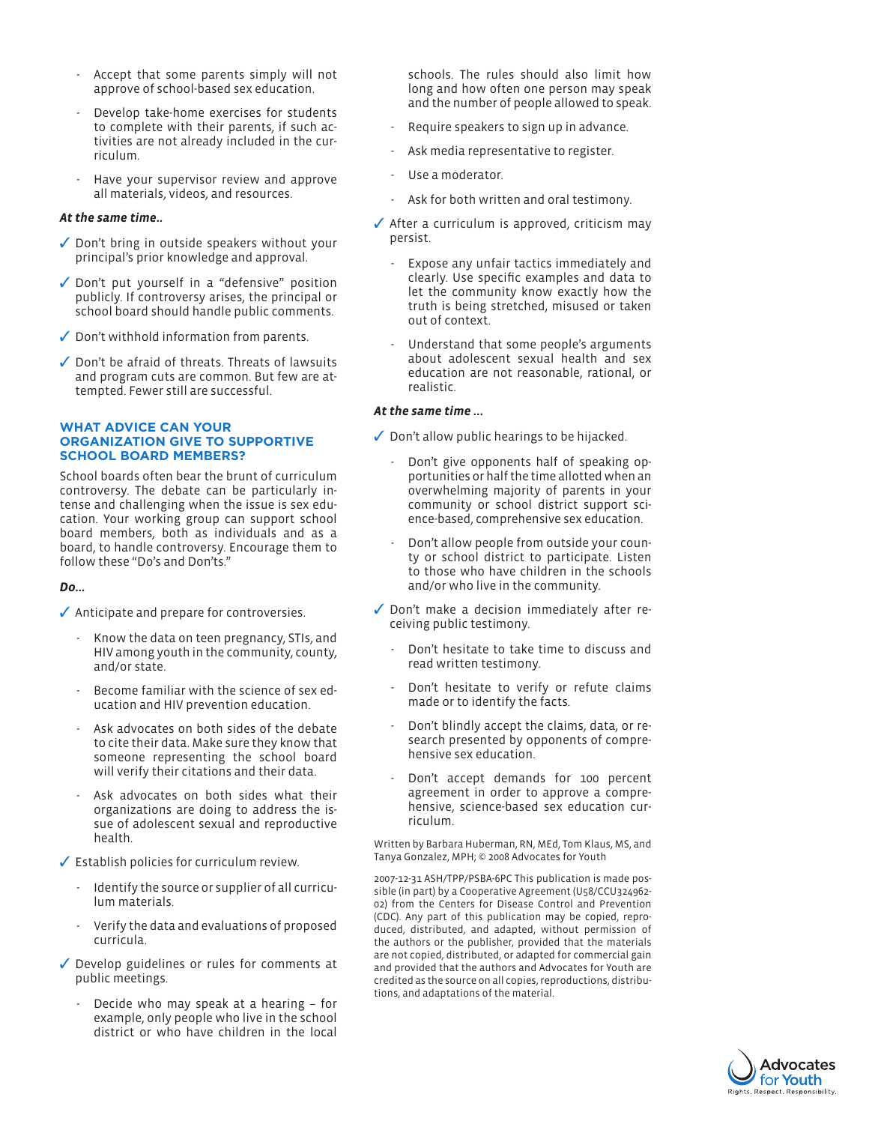- Accept that some parents simply will not approve of school-based sex education.
- Develop take-home exercises for students to complete with their parents, if such activities are not already included in the curriculum.
- Have your supervisor review and approve all materials, videos, and resources.

## *At the same time..*

- ✓ Don't bring in outside speakers without your principal's prior knowledge and approval.
- ✓ Don't put yourself in a "defensive" position publicly. If controversy arises, the principal or school board should handle public comments.
- ✓ Don't withhold information from parents.
- ✓ Don't be afraid of threats. Threats of lawsuits and program cuts are common. But few are attempted. Fewer still are successful.

## **WHAT ADVICE CAN YOUR ORGANIZATION GIVE TO SUPPORTIVE SCHOOL BOARD MEMBERS?**

School boards often bear the brunt of curriculum controversy. The debate can be particularly intense and challenging when the issue is sex education. Your working group can support school board members, both as individuals and as a board, to handle controversy. Encourage them to follow these "Do's and Don'ts."

# *Do...*

- ✓ Anticipate and prepare for controversies.
	- Know the data on teen pregnancy, STIs, and HIV among youth in the community, county, and/or state.
	- Become familiar with the science of sex education and HIV prevention education.
	- Ask advocates on both sides of the debate to cite their data. Make sure they know that someone representing the school board will verify their citations and their data.
	- Ask advocates on both sides what their organizations are doing to address the issue of adolescent sexual and reproductive health.
- ✓ Establish policies for curriculum review.
	- Identify the source or supplier of all curriculum materials.
	- Verify the data and evaluations of proposed curricula.
- ✓ Develop guidelines or rules for comments at public meetings.
	- Decide who may speak at a hearing for example, only people who live in the school district or who have children in the local

schools. The rules should also limit how long and how often one person may speak and the number of people allowed to speak.

- Require speakers to sign up in advance.
- Ask media representative to register.
- Use a moderator.
- Ask for both written and oral testimony.
- ✓ After a curriculum is approved, criticism may persist.
	- Expose any unfair tactics immediately and clearly. Use specific examples and data to let the community know exactly how the truth is being stretched, misused or taken out of context.
	- Understand that some people's arguments about adolescent sexual health and sex education are not reasonable, rational, or realistic.

### *At the same time …*

- ✓ Don't allow public hearings to be hijacked.
	- Don't give opponents half of speaking opportunities or half the time allotted when an overwhelming majority of parents in your community or school district support science-based, comprehensive sex education.
	- Don't allow people from outside your county or school district to participate. Listen to those who have children in the schools and/or who live in the community.
- ✓ Don't make a decision immediately after receiving public testimony.
	- Don't hesitate to take time to discuss and read written testimony.
	- Don't hesitate to verify or refute claims made or to identify the facts.
	- Don't blindly accept the claims, data, or research presented by opponents of comprehensive sex education.
	- Don't accept demands for 100 percent agreement in order to approve a comprehensive, science-based sex education curriculum.

Written by Barbara Huberman, RN, MEd, Tom Klaus, MS, and Tanya Gonzalez, MPH; © 2008 Advocates for Youth

2007-12-31 ASH/TPP/PSBA-6PC This publication is made possible (in part) by a Cooperative Agreement (U58/CCU324962- 02) from the Centers for Disease Control and Prevention (CDC). Any part of this publication may be copied, reproduced, distributed, and adapted, without permission of the authors or the publisher, provided that the materials are not copied, distributed, or adapted for commercial gain and provided that the authors and Advocates for Youth are credited as the source on all copies, reproductions, distributions, and adaptations of the material.